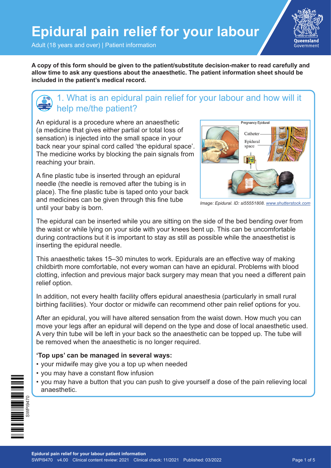Adult (18 years and over) | Patient information

**Oueensland** Government

**A copy of this form should be given to the patient/substitute decision-maker to read carefully and allow time to ask any questions about the anaesthetic. The patient information sheet should be included in the patient's medical record.**

### 1. What is an epidural pain relief for your labour and how will it help me/the patient?

An epidural is a procedure where an anaesthetic (a medicine that gives either partial or total loss of sensation) is injected into the small space in your back near your spinal cord called 'the epidural space'. The medicine works by blocking the pain signals from reaching your brain.

A fine plastic tube is inserted through an epidural needle (the needle is removed after the tubing is in place). The fine plastic tube is taped onto your back and medicines can be given through this fine tube until your baby is born.



*Image: Epidural. ID: si55551808. [www.shutterstock.com](http://www.shutterstock.com)*

The epidural can be inserted while you are sitting on the side of the bed bending over from the waist or while lying on your side with your knees bent up. This can be uncomfortable during contractions but it is important to stay as still as possible while the anaesthetist is inserting the epidural needle.

This anaesthetic takes 15–30 minutes to work. Epidurals are an effective way of making childbirth more comfortable, not every woman can have an epidural. Problems with blood clotting, infection and previous major back surgery may mean that you need a different pain relief option.

In addition, not every health facility offers epidural anaesthesia (particularly in small rural birthing facilities). Your doctor or midwife can recommend other pain relief options for you.

After an epidural, you will have altered sensation from the waist down. How much you can move your legs after an epidural will depend on the type and dose of local anaesthetic used. A very thin tube will be left in your back so the anaesthetic can be topped up. The tube will be removed when the anaesthetic is no longer required.

#### **'Top ups' can be managed in several ways:**

- your midwife may give you a top up when needed
- you may have a constant flow infusion
- you may have a button that you can push to give yourself a dose of the pain relieving local anaesthetic.

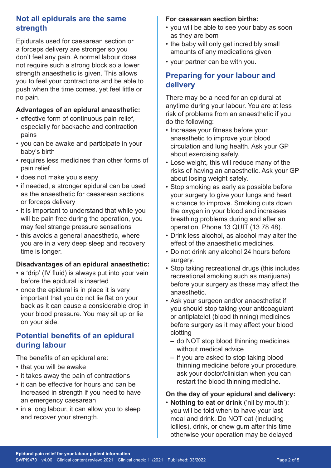### **Not all epidurals are the same strength**

Epidurals used for caesarean section or a forceps delivery are stronger so you don't feel any pain. A normal labour does not require such a strong block so a lower strength anaesthetic is given. This allows you to feel your contractions and be able to push when the time comes, yet feel little or no pain.

#### **Advantages of an epidural anaesthetic:**

- effective form of continuous pain relief, especially for backache and contraction pains
- you can be awake and participate in your baby's birth
- requires less medicines than other forms of pain relief
- does not make you sleepy
- if needed, a stronger epidural can be used as the anaesthetic for caesarean sections or forceps delivery
- it is important to understand that while you will be pain free during the operation, you may feel strange pressure sensations
- this avoids a general anaesthetic, where you are in a very deep sleep and recovery time is longer.

#### **Disadvantages of an epidural anaesthetic:**

- a 'drip' (IV fluid) is always put into your vein before the epidural is inserted
- once the epidural is in place it is very important that you do not lie flat on your back as it can cause a considerable drop in your blood pressure. You may sit up or lie on your side.

### **Potential benefits of an epidural during labour**

The benefits of an epidural are:

- that you will be awake
- it takes away the pain of contractions
- it can be effective for hours and can be increased in strength if you need to have an emergency caesarean
- in a long labour, it can allow you to sleep and recover your strength.

#### **For caesarean section births:**

- you will be able to see your baby as soon as they are born
- the baby will only get incredibly small amounts of any medications given
- your partner can be with you.

### **Preparing for your labour and delivery**

There may be a need for an epidural at anytime during your labour. You are at less risk of problems from an anaesthetic if you do the following:

- Increase your fitness before your anaesthetic to improve your blood circulation and lung health. Ask your GP about exercising safely.
- Lose weight, this will reduce many of the risks of having an anaesthetic. Ask your GP about losing weight safely.
- Stop smoking as early as possible before your surgery to give your lungs and heart a chance to improve. Smoking cuts down the oxygen in your blood and increases breathing problems during and after an operation. Phone 13 QUIT (13 78 48).
- Drink less alcohol, as alcohol may alter the effect of the anaesthetic medicines.
- Do not drink any alcohol 24 hours before surgery.
- Stop taking recreational drugs (this includes recreational smoking such as marijuana) before your surgery as these may affect the anaesthetic.
- Ask your surgeon and/or anaesthetist if you should stop taking your anticoagulant or antiplatelet (blood thinning) medicines before surgery as it may affect your blood clotting
	- do NOT stop blood thinning medicines without medical advice
	- if you are asked to stop taking blood thinning medicine before your procedure, ask your doctor/clinician when you can restart the blood thinning medicine.

#### **On the day of your epidural and delivery:**

• **Nothing to eat or drink** ('nil by mouth'): you will be told when to have your last meal and drink. Do NOT eat (including lollies), drink, or chew gum after this time otherwise your operation may be delayed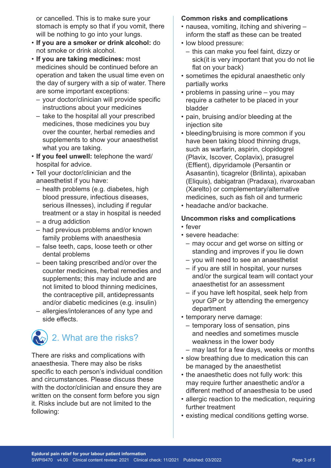or cancelled. This is to make sure your stomach is empty so that if you vomit, there will be nothing to go into your lungs.

- **If you are a smoker or drink alcohol:** do not smoke or drink alcohol.
- **If you are taking medicines:** most medicines should be continued before an operation and taken the usual time even on the day of surgery with a sip of water. There are some important exceptions:
	- your doctor/clinician will provide specific instructions about your medicines
	- take to the hospital all your prescribed medicines, those medicines you buy over the counter, herbal remedies and supplements to show your anaesthetist what you are taking.
- **If you feel unwell:** telephone the ward/ hospital for advice.
- Tell your doctor/clinician and the anaesthetist if you have:
	- health problems (e.g. diabetes, high blood pressure, infectious diseases, serious illnesses), including if regular treatment or a stay in hospital is needed
	- a drug addiction
	- had previous problems and/or known family problems with anaesthesia
	- false teeth, caps, loose teeth or other dental problems
	- been taking prescribed and/or over the counter medicines, herbal remedies and supplements; this may include and are not limited to blood thinning medicines, the contraceptive pill, antidepressants and/or diabetic medicines (e.g. insulin)
	- allergies/intolerances of any type and side effects.

# 2. What are the risks?

There are risks and complications with anaesthesia. There may also be risks specific to each person's individual condition and circumstances. Please discuss these with the doctor/clinician and ensure they are written on the consent form before you sign it. Risks include but are not limited to the following:

#### **Common risks and complications**

- nausea, vomiting, itching and shivering inform the staff as these can be treated
- low blood pressure:
	- this can make you feel faint, dizzy or sick(it is very important that you do not lie flat on your back)
- sometimes the epidural anaesthetic only partially works
- problems in passing urine you may require a catheter to be placed in your bladder
- pain, bruising and/or bleeding at the injection site
- bleeding/bruising is more common if you have been taking blood thinning drugs, such as warfarin, aspirin, clopidogrel (Plavix, Iscover, Coplavix), prasugrel (Effient), dipyridamole (Persantin or Asasantin), ticagrelor (Brilinta), apixaban (Eliquis), dabigatran (Pradaxa), rivaroxaban (Xarelto) or complementary/alternative medicines, such as fish oil and turmeric
- headache and/or backache.

#### **Uncommon risks and complications**

- fever
- severe headache:
	- may occur and get worse on sitting or standing and improves if you lie down
	- you will need to see an anaesthetist
	- if you are still in hospital, your nurses and/or the surgical team will contact your anaesthetist for an assessment
	- if you have left hospital, seek help from your GP or by attending the emergency department
- temporary nerve damage:
	- temporary loss of sensation, pins and needles and sometimes muscle weakness in the lower body
	- may last for a few days, weeks or months
- slow breathing due to medication this can be managed by the anaesthetist
- the anaesthetic does not fully work: this may require further anaesthetic and/or a different method of anaesthesia to be used
- allergic reaction to the medication, requiring further treatment
- existing medical conditions getting worse.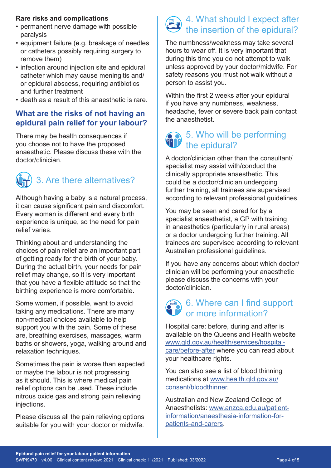#### **Rare risks and complications**

- permanent nerve damage with possible paralysis
- equipment failure (e.g. breakage of needles or catheters possibly requiring surgery to remove them)
- infection around injection site and epidural catheter which may cause meningitis and/ or epidural abscess, requiring antibiotics and further treatment
- death as a result of this anaesthetic is rare.

### **What are the risks of not having an epidural pain relief for your labour?**

There may be health consequences if you choose not to have the proposed anaesthetic. Please discuss these with the doctor/clinician.



Although having a baby is a natural process, it can cause significant pain and discomfort. Every woman is different and every birth experience is unique, so the need for pain relief varies.

Thinking about and understanding the choices of pain relief are an important part of getting ready for the birth of your baby. During the actual birth, your needs for pain relief may change, so it is very important that you have a flexible attitude so that the birthing experience is more comfortable.

Some women, if possible, want to avoid taking any medications. There are many non-medical choices available to help support you with the pain. Some of these are, breathing exercises, massages, warm baths or showers, yoga, walking around and relaxation techniques.

Sometimes the pain is worse than expected or maybe the labour is not progressing as it should. This is where medical pain relief options can be used. These include nitrous oxide gas and strong pain relieving injections.

Please discuss all the pain relieving options suitable for you with your doctor or midwife.

# 4. What should I expect after the insertion of the epidural?

The numbness/weakness may take several hours to wear off. It is very important that during this time you do not attempt to walk unless approved by your doctor/midwife. For safety reasons you must not walk without a person to assist you.

Within the first 2 weeks after your epidural if you have any numbness, weakness, headache, fever or severe back pain contact the anaesthetist.

## 5. Who will be performing the epidural?

A doctor/clinician other than the consultant/ specialist may assist with/conduct the clinically appropriate anaesthetic. This could be a doctor/clinician undergoing further training, all trainees are supervised according to relevant professional guidelines.

You may be seen and cared for by a specialist anaesthetist, a GP with training in anaesthetics (particularly in rural areas) or a doctor undergoing further training. All trainees are supervised according to relevant Australian professional guidelines.

If you have any concerns about which doctor/ clinician will be performing your anaesthetic please discuss the concerns with your doctor/clinician.

# $\land$  6. Where can I find support or more information?

Hospital care: before, during and after is available on the Queensland Health website [www.qld.gov.au/health/services/hospital](http://www.qld.gov.au/health/services/hospital-care/before-after)[care/before-after](http://www.qld.gov.au/health/services/hospital-care/before-after) where you can read about your healthcare rights.

You can also see a list of blood thinning medications at [www.health.qld.gov.au/](http://www.health.qld.gov.au/consent/bloodthinner) [consent/bloodthinner](http://www.health.qld.gov.au/consent/bloodthinner).

Australian and New Zealand College of Anaesthetists: [www.anzca.edu.au/patient](http://www.anzca.edu.au/patient-information/anaesthesia-information-for-patients-and-carers)[information/anaesthesia-information-for](http://www.anzca.edu.au/patient-information/anaesthesia-information-for-patients-and-carers)[patients-and-carers](http://www.anzca.edu.au/patient-information/anaesthesia-information-for-patients-and-carers).